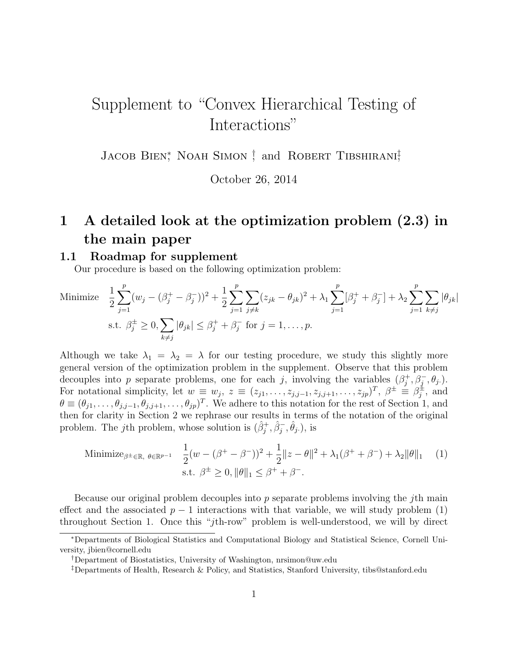# Supplement to "Convex Hierarchical Testing of Interactions"

JACOB BIEN<sup>\*</sup>, NOAH SIMON<sup>†</sup>, and ROBERT TIBSHIRANI<sup>‡</sup>

October 26, 2014

## 1 A detailed look at the optimization problem (2.3) in the main paper

#### 1.1 Roadmap for supplement

Our procedure is based on the following optimization problem:

Minimize 
$$
\frac{1}{2} \sum_{j=1}^{p} (w_j - (\beta_j^+ - \beta_j^-))^2 + \frac{1}{2} \sum_{j=1}^{p} \sum_{j \neq k} (z_{jk} - \theta_{jk})^2 + \lambda_1 \sum_{j=1}^{p} [\beta_j^+ + \beta_j^-] + \lambda_2 \sum_{j=1}^{p} \sum_{k \neq j} |\theta_{jk}|
$$
  
s.t.  $\beta_j^{\pm} \ge 0$ ,  $\sum_{k \neq j} |\theta_{jk}| \le \beta_j^+ + \beta_j^-$  for  $j = 1, ..., p$ .

Although we take  $\lambda_1 = \lambda_2 = \lambda$  for our testing procedure, we study this slightly more general version of the optimization problem in the supplement. Observe that this problem decouples into p separate problems, one for each j, involving the variables  $(\beta_i^+$  $j^+$ ,  $\beta_j^-$ ,  $\theta_j$ .). For notational simplicity, let  $w \equiv w_j$ ,  $z \equiv (z_{j1}, \ldots, z_{j,j-1}, z_{j,j+1}, \ldots, z_{jp})^T$ ,  $\beta^{\pm} \equiv \beta^{\pm}$  $j^{\pm}$ , and  $\theta \equiv (\theta_{j1}, \ldots, \theta_{j,j-1}, \theta_{j,j+1}, \ldots, \theta_{jp})^T$ . We adhere to this notation for the rest of Section 1, and then for clarity in Section 2 we rephrase our results in terms of the notation of the original problem. The jth problem, whose solution is  $(\hat{\beta}_j^+, \hat{\beta}_j^-, \hat{\theta}_j)$ , is

Minimize<sub>$$
\beta
$$
 ±  $\in$  R,  $\theta \in \mathbb{R}^{p-1}$   $\frac{1}{2}(w - (\beta^+ - \beta^-))^2 + \frac{1}{2}||z - \theta||^2 + \lambda_1(\beta^+ + \beta^-) + \lambda_2||\theta||_1$  (1)  
s.t.  $\beta^{\pm} \ge 0$ ,  $||\theta||_1 \le \beta^+ + \beta^-$ .</sub>

Because our original problem decouples into  $p$  separate problems involving the *j*th main effect and the associated  $p-1$  interactions with that variable, we will study problem (1) throughout Section 1. Once this "jth-row" problem is well-understood, we will by direct

<sup>∗</sup>Departments of Biological Statistics and Computational Biology and Statistical Science, Cornell University, jbien@cornell.edu

<sup>†</sup>Department of Biostatistics, University of Washington, nrsimon@uw.edu

<sup>‡</sup>Departments of Health, Research & Policy, and Statistics, Stanford University, tibs@stanford.edu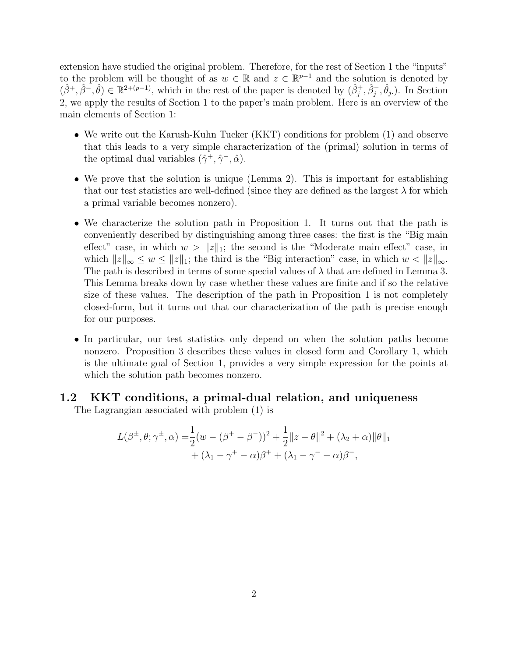extension have studied the original problem. Therefore, for the rest of Section 1 the "inputs" to the problem will be thought of as  $w \in \mathbb{R}$  and  $z \in \mathbb{R}^{p-1}$  and the solution is denoted by  $(\hat{\beta}^+,\hat{\beta}^-,\hat{\theta}) \in \mathbb{R}^{2+(p-1)}$ , which in the rest of the paper is denoted by  $(\hat{\beta}_j^+,\hat{\beta}_j^-,\hat{\theta}_j)$ . In Section 2, we apply the results of Section 1 to the paper's main problem. Here is an overview of the main elements of Section 1:

- We write out the Karush-Kuhn Tucker (KKT) conditions for problem (1) and observe that this leads to a very simple characterization of the (primal) solution in terms of the optimal dual variables  $(\hat{\gamma}^+, \hat{\gamma}^-, \hat{\alpha})$ .
- We prove that the solution is unique (Lemma 2). This is important for establishing that our test statistics are well-defined (since they are defined as the largest  $\lambda$  for which a primal variable becomes nonzero).
- We characterize the solution path in Proposition 1. It turns out that the path is conveniently described by distinguishing among three cases: the first is the "Big main effect" case, in which  $w > ||z||_1$ ; the second is the "Moderate main effect" case, in which  $||z||_{\infty} \leq w \leq ||z||_1$ ; the third is the "Big interaction" case, in which  $w < ||z||_{\infty}$ . The path is described in terms of some special values of  $\lambda$  that are defined in Lemma 3. This Lemma breaks down by case whether these values are finite and if so the relative size of these values. The description of the path in Proposition 1 is not completely closed-form, but it turns out that our characterization of the path is precise enough for our purposes.
- In particular, our test statistics only depend on when the solution paths become nonzero. Proposition 3 describes these values in closed form and Corollary 1, which is the ultimate goal of Section 1, provides a very simple expression for the points at which the solution path becomes nonzero.

#### 1.2 KKT conditions, a primal-dual relation, and uniqueness

The Lagrangian associated with problem (1) is

$$
L(\beta^{\pm}, \theta; \gamma^{\pm}, \alpha) = \frac{1}{2} (w - (\beta^+ - \beta^-))^2 + \frac{1}{2} ||z - \theta||^2 + (\lambda_2 + \alpha) ||\theta||_1 + (\lambda_1 - \gamma^+ - \alpha)\beta^+ + (\lambda_1 - \gamma^- - \alpha)\beta^-,
$$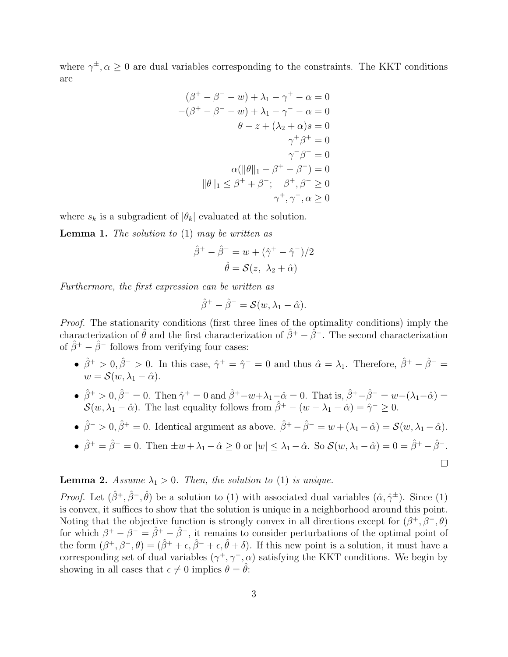where  $\gamma^{\pm}, \alpha \geq 0$  are dual variables corresponding to the constraints. The KKT conditions are

$$
(\beta^+ - \beta^- - w) + \lambda_1 - \gamma^+ - \alpha = 0
$$
  

$$
-(\beta^+ - \beta^- - w) + \lambda_1 - \gamma^- - \alpha = 0
$$
  

$$
\theta - z + (\lambda_2 + \alpha)s = 0
$$
  

$$
\gamma^+ \beta^+ = 0
$$
  

$$
\gamma^- \beta^- = 0
$$
  

$$
\alpha(\|\theta\|_1 - \beta^+ - \beta^-) = 0
$$
  

$$
\|\theta\|_1 \leq \beta^+ + \beta^-; \quad \beta^+, \beta^- \geq 0
$$
  

$$
\gamma^+, \gamma^-, \alpha \geq 0
$$

where  $s_k$  is a subgradient of  $|\theta_k|$  evaluated at the solution.

**Lemma 1.** The solution to  $(1)$  may be written as

$$
\hat{\beta}^+ - \hat{\beta}^- = w + (\hat{\gamma}^+ - \hat{\gamma}^-)/2
$$

$$
\hat{\theta} = \mathcal{S}(z, \ \lambda_2 + \hat{\alpha})
$$

Furthermore, the first expression can be written as

$$
\hat{\beta}^+ - \hat{\beta}^- = \mathcal{S}(w, \lambda_1 - \hat{\alpha}).
$$

Proof. The stationarity conditions (first three lines of the optimality conditions) imply the characterization of  $\hat{\theta}$  and the first characterization of  $\hat{\beta}^+ - \hat{\beta}^-$ . The second characterization of  $\hat{\beta}^+ - \hat{\beta}^-$  follows from verifying four cases:

- $\hat{\beta}^+ > 0$ ,  $\hat{\beta}^- > 0$ . In this case,  $\hat{\gamma}^+ = \hat{\gamma}^- = 0$  and thus  $\hat{\alpha} = \lambda_1$ . Therefore,  $\hat{\beta}^+ \hat{\beta}^- = 0$  $w = \mathcal{S}(w, \lambda_1 - \hat{\alpha}).$
- $\hat{\beta}^+ > 0$ ,  $\hat{\beta}^- = 0$ . Then  $\hat{\gamma}^+ = 0$  and  $\hat{\beta}^+ w + \lambda_1 \hat{\alpha} = 0$ . That is,  $\hat{\beta}^+ \hat{\beta}^- = w (\lambda_1 \hat{\alpha}) = 0$  $\mathcal{S}(w, \lambda_1 - \hat{\alpha})$ . The last equality follows from  $\hat{\beta}^+ - (w - \lambda_1 - \hat{\alpha}) = \hat{\gamma}^- \geq 0$ .
- $\hat{\beta}^- > 0$ ,  $\hat{\beta}^+ = 0$ . Identical argument as above.  $\hat{\beta}^+ \hat{\beta}^- = w + (\lambda_1 \hat{\alpha}) = \mathcal{S}(w, \lambda_1 \hat{\alpha})$ .

• 
$$
\hat{\beta}^+ = \hat{\beta}^- = 0
$$
. Then  $\pm w + \lambda_1 - \hat{\alpha} \ge 0$  or  $|w| \le \lambda_1 - \hat{\alpha}$ . So  $\mathcal{S}(w, \lambda_1 - \hat{\alpha}) = 0 = \hat{\beta}^+ - \hat{\beta}^-$ .

#### **Lemma 2.** Assume  $\lambda_1 > 0$ . Then, the solution to (1) is unique.

*Proof.* Let  $(\hat{\beta}^+, \hat{\beta}^-, \hat{\theta})$  be a solution to (1) with associated dual variables  $(\hat{\alpha}, \hat{\gamma}^{\pm})$ . Since (1) is convex, it suffices to show that the solution is unique in a neighborhood around this point. Noting that the objective function is strongly convex in all directions except for  $(\beta^+, \beta^-, \theta)$ for which  $\beta^+ - \beta^- = \hat{\beta}^+ - \hat{\beta}^-$ , it remains to consider perturbations of the optimal point of the form  $(\beta^+, \beta^-, \theta) = (\hat{\beta}^+ + \epsilon, \hat{\beta}^- + \epsilon, \hat{\theta} + \delta)$ . If this new point is a solution, it must have a corresponding set of dual variables  $(\gamma^+, \gamma^-, \alpha)$  satisfying the KKT conditions. We begin by showing in all cases that  $\epsilon \neq 0$  implies  $\theta = \theta$ :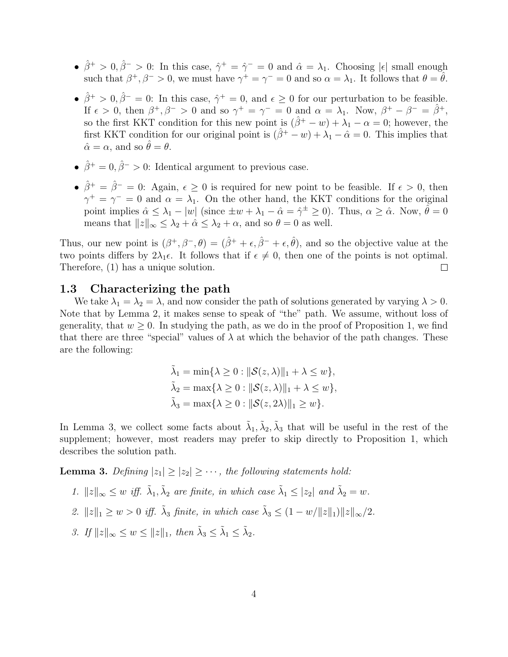- $\hat{\beta}^+ > 0$ ,  $\hat{\beta}^- > 0$ : In this case,  $\hat{\gamma}^+ = \hat{\gamma}^- = 0$  and  $\hat{\alpha} = \lambda_1$ . Choosing  $|\epsilon|$  small enough such that  $\beta^+, \beta^- > 0$ , we must have  $\gamma^+ = \gamma^- = 0$  and so  $\alpha = \lambda_1$ . It follows that  $\theta = \hat{\theta}$ .
- $\hat{\beta}^+ > 0$ ,  $\hat{\beta}^- = 0$ : In this case,  $\hat{\gamma}^+ = 0$ , and  $\epsilon \geq 0$  for our perturbation to be feasible. If  $\epsilon > 0$ , then  $\beta^+, \beta^- > 0$  and so  $\gamma^+ = \gamma^- = 0$  and  $\alpha = \lambda_1$ . Now,  $\beta^+ - \beta^- = \hat{\beta}^+$ , so the first KKT condition for this new point is  $(\hat{\beta}^+ - w) + \lambda_1 - \alpha = 0$ ; however, the first KKT condition for our original point is  $(\hat{\beta}^+ - w) + \lambda_1 - \hat{\alpha} = 0$ . This implies that  $\hat{\alpha} = \alpha$ , and so  $\hat{\theta} = \theta$ .
- $\hat{\beta}^+ = 0$ ,  $\hat{\beta}^- > 0$ : Identical argument to previous case.
- $\hat{\beta}^+ = \hat{\beta}^- = 0$ : Again,  $\epsilon \geq 0$  is required for new point to be feasible. If  $\epsilon > 0$ , then  $\gamma^+ = \gamma^- = 0$  and  $\alpha = \lambda_1$ . On the other hand, the KKT conditions for the original point implies  $\hat{\alpha} \leq \lambda_1 - |w|$  (since  $\pm w + \lambda_1 - \hat{\alpha} = \hat{\gamma}^{\pm} \geq 0$ ). Thus,  $\alpha \geq \hat{\alpha}$ . Now,  $\hat{\theta} = 0$ means that  $||z||_{\infty} \leq \lambda_2 + \hat{\alpha} \leq \lambda_2 + \alpha$ , and so  $\theta = 0$  as well.

Thus, our new point is  $(\beta^+, \beta^-, \theta) = (\hat{\beta}^+ + \epsilon, \hat{\beta}^- + \epsilon, \hat{\theta})$ , and so the objective value at the two points differs by  $2\lambda_1 \epsilon$ . It follows that if  $\epsilon \neq 0$ , then one of the points is not optimal. Therefore, (1) has a unique solution.  $\Box$ 

#### 1.3 Characterizing the path

We take  $\lambda_1 = \lambda_2 = \lambda$ , and now consider the path of solutions generated by varying  $\lambda > 0$ . Note that by Lemma 2, it makes sense to speak of "the" path. We assume, without loss of generality, that  $w > 0$ . In studying the path, as we do in the proof of Proposition 1, we find that there are three "special" values of  $\lambda$  at which the behavior of the path changes. These are the following:

$$
\tilde{\lambda}_1 = \min\{\lambda \ge 0 : ||\mathcal{S}(z,\lambda)||_1 + \lambda \le w\},
$$
  
\n
$$
\tilde{\lambda}_2 = \max\{\lambda \ge 0 : ||\mathcal{S}(z,\lambda)||_1 + \lambda \le w\},
$$
  
\n
$$
\tilde{\lambda}_3 = \max\{\lambda \ge 0 : ||\mathcal{S}(z,2\lambda)||_1 \ge w\}.
$$

In Lemma 3, we collect some facts about  $\tilde{\lambda}_1, \tilde{\lambda}_2, \tilde{\lambda}_3$  that will be useful in the rest of the supplement; however, most readers may prefer to skip directly to Proposition 1, which describes the solution path.

**Lemma 3.** Defining  $|z_1| \geq |z_2| \geq \cdots$ , the following statements hold:

- 1.  $||z||_{\infty} \leq w$  iff.  $\tilde{\lambda}_1, \tilde{\lambda}_2$  are finite, in which case  $\tilde{\lambda}_1 \leq |z_2|$  and  $\tilde{\lambda}_2 = w$ .
- 2.  $||z||_1 \geq w > 0$  iff.  $\tilde{\lambda}_3$  finite, in which case  $\tilde{\lambda}_3 \leq (1 w/||z||_1) ||z||_{\infty}/2$ .
- 3. If  $||z||_{\infty} \leq w \leq ||z||_1$ , then  $\tilde{\lambda}_3 \leq \tilde{\lambda}_1 \leq \tilde{\lambda}_2$ .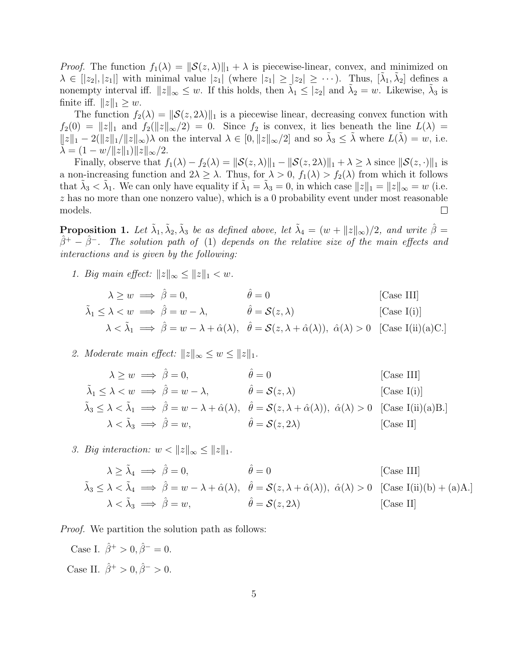*Proof.* The function  $f_1(\lambda) = ||\mathcal{S}(z, \lambda)||_1 + \lambda$  is piecewise-linear, convex, and minimized on  $\lambda \in [[z_2], |z_1]]$  with minimal value  $|z_1|$  (where  $|z_1| \geq |z_2| \geq \cdots$ ). Thus,  $[\tilde{\lambda}_1, \tilde{\lambda}_2]$  defines a nonempty interval iff.  $||z||_{\infty} \leq w$ . If this holds, then  $\tilde{\lambda}_1 \leq |z_2|$  and  $\tilde{\lambda}_2 = w$ . Likewise,  $\tilde{\lambda}_3$  is finite iff.  $||z||_1 \geq w$ .

The function  $f_2(\lambda) = ||\mathcal{S}(z, 2\lambda)||_1$  is a piecewise linear, decreasing convex function with  $f_2(0) = ||z||_1$  and  $f_2(||z||_{\infty}/2) = 0$ . Since  $f_2$  is convex, it lies beneath the line  $L(\lambda) =$  $||z||_1 - 2(||z||_1/||z||_{\infty})\lambda$  on the interval  $\lambda \in [0, ||z||_{\infty}/2]$  and so  $\tilde{\lambda}_3 \leq \tilde{\lambda}$  where  $L(\tilde{\lambda}) = w$ , i.e.  $\lambda = (1 - w/\|z\|_1)\|z\|_{\infty}/2.$ 

Finally, observe that  $f_1(\lambda) - f_2(\lambda) = ||\mathcal{S}(z, \lambda)||_1 - ||\mathcal{S}(z, 2\lambda)||_1 + \lambda \ge \lambda$  since  $||\mathcal{S}(z, \cdot)||_1$  is a non-increasing function and  $2\lambda \geq \lambda$ . Thus, for  $\lambda > 0$ ,  $f_1(\lambda) > f_2(\lambda)$  from which it follows that  $\tilde{\lambda}_3 < \tilde{\lambda}_1$ . We can only have equality if  $\tilde{\lambda}_1 = \tilde{\lambda}_3 = 0$ , in which case  $||z||_1 = ||z||_{\infty} = w$  (i.e.  $z$  has no more than one nonzero value), which is a 0 probability event under most reasonable models.  $\Box$ 

**Proposition 1.** Let  $\tilde{\lambda}_1, \tilde{\lambda}_2, \tilde{\lambda}_3$  be as defined above, let  $\tilde{\lambda}_4 = (w + ||z||_{\infty})/2$ , and write  $\hat{\beta} =$  $\hat{\beta}^+ - \hat{\beta}^-$ . The solution path of (1) depends on the relative size of the main effects and interactions and is given by the following:

1. Big main effect:  $||z||_{\infty} \leq ||z||_1 < w$ .

$$
\lambda \ge w \implies \hat{\beta} = 0, \qquad \hat{\theta} = 0 \qquad \text{[Case III]}
$$
  

$$
\tilde{\lambda}_1 \le \lambda < w \implies \hat{\beta} = w - \lambda, \qquad \hat{\theta} = \mathcal{S}(z, \lambda) \qquad \text{[Case I(i)]}
$$
  

$$
\lambda < \tilde{\lambda}_1 \implies \hat{\beta} = w - \lambda + \hat{\alpha}(\lambda), \quad \hat{\theta} = \mathcal{S}(z, \lambda + \hat{\alpha}(\lambda)), \quad \hat{\alpha}(\lambda) > 0 \quad \text{[Case I(ii)(a)C.]}
$$

2. Moderate main effect:  $||z||_{\infty} \leq w \leq ||z||_1$ .

$$
\lambda \ge w \implies \hat{\beta} = 0, \qquad \hat{\theta} = 0 \qquad \text{[Case III]}
$$
\n
$$
\tilde{\lambda}_1 \le \lambda < w \implies \hat{\beta} = w - \lambda, \qquad \hat{\theta} = \mathcal{S}(z, \lambda) \qquad \text{[Case I(i)]}
$$
\n
$$
\tilde{\lambda}_3 \le \lambda < \tilde{\lambda}_1 \implies \hat{\beta} = w - \lambda + \hat{\alpha}(\lambda), \quad \hat{\theta} = \mathcal{S}(z, \lambda + \hat{\alpha}(\lambda)), \quad \hat{\alpha}(\lambda) > 0 \qquad \text{[Case I(ii)(a)B.]}
$$
\n
$$
\lambda < \tilde{\lambda}_3 \implies \hat{\beta} = w, \qquad \hat{\theta} = \mathcal{S}(z, 2\lambda) \qquad \text{[Case II]}
$$

3. Big interaction:  $w < ||z||_{\infty} \leq ||z||_1$ .

$$
\lambda \ge \tilde{\lambda}_4 \implies \hat{\beta} = 0, \qquad \hat{\theta} = 0 \qquad \text{[Case III]}
$$
  

$$
\tilde{\lambda}_3 \le \lambda < \tilde{\lambda}_4 \implies \hat{\beta} = w - \lambda + \hat{\alpha}(\lambda), \quad \hat{\theta} = \mathcal{S}(z, \lambda + \hat{\alpha}(\lambda)), \quad \hat{\alpha}(\lambda) > 0 \quad \text{[Case I(ii)(b) + (a)A.]}
$$
  

$$
\lambda < \tilde{\lambda}_3 \implies \hat{\beta} = w, \qquad \hat{\theta} = \mathcal{S}(z, 2\lambda) \qquad \text{[Case II]}
$$

*Proof.* We partition the solution path as follows:

Case I.  $\hat{\beta}^+ > 0$ ,  $\hat{\beta}^- = 0$ . Case II.  $\hat{\beta}^+ > 0$ ,  $\hat{\beta}^- > 0$ .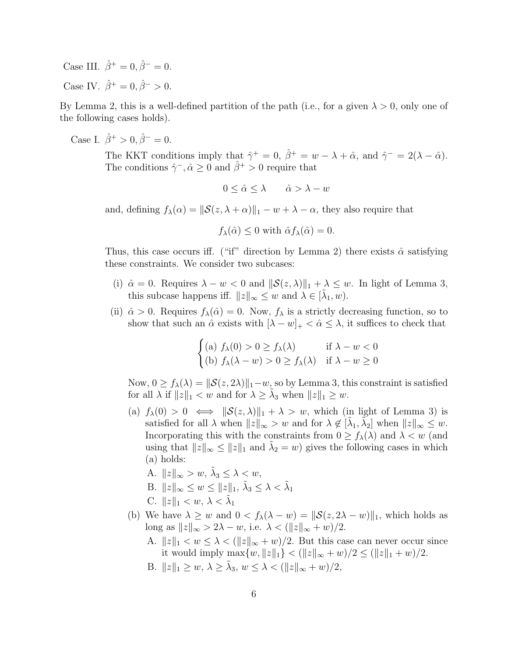Case III.  $\hat{\beta}^{+} = 0, \hat{\beta}^{-} = 0.$ Case IV.  $\hat{\beta}^+ = 0$ ,  $\hat{\beta}^- > 0$ .

By Lemma 2, this is a well-defined partition of the path (i.e., for a given  $\lambda > 0$ , only one of the following cases holds).

Case I.  $\hat{\beta}^+ > 0$ ,  $\hat{\beta}^- = 0$ .

The KKT conditions imply that  $\hat{\gamma}^+ = 0$ ,  $\hat{\beta}^+ = w - \lambda + \hat{\alpha}$ , and  $\hat{\gamma}^- = 2(\lambda - \hat{\alpha})$ . The conditions  $\hat{\gamma}$ ,  $\hat{\alpha} \ge 0$  and  $\hat{\beta}^+ > 0$  require that

$$
0 \le \hat{\alpha} \le \lambda \qquad \hat{\alpha} > \lambda - w
$$

and, defining  $f_{\lambda}(\alpha) = ||\mathcal{S}(z, \lambda + \alpha)||_1 - w + \lambda - \alpha$ , they also require that

$$
f_{\lambda}(\hat{\alpha}) \leq 0
$$
 with  $\hat{\alpha} f_{\lambda}(\hat{\alpha}) = 0$ .

Thus, this case occurs iff. ("if" direction by Lemma 2) there exists  $\hat{\alpha}$  satisfying these constraints. We consider two subcases:

- (i)  $\hat{\alpha} = 0$ . Requires  $\lambda w < 0$  and  $\|\mathcal{S}(z, \lambda)\|_1 + \lambda \leq w$ . In light of Lemma 3, this subcase happens iff.  $||z||_{\infty} \leq w$  and  $\lambda \in [\tilde{\lambda}_1, w)$ .
- (ii)  $\hat{\alpha} > 0$ . Requires  $f_{\lambda}(\hat{\alpha}) = 0$ . Now,  $f_{\lambda}$  is a strictly decreasing function, so to show that such an  $\hat{\alpha}$  exists with  $[\lambda - w]_+ < \hat{\alpha} \leq \lambda$ , it suffices to check that

$$
\begin{cases}\n(a) \ f_{\lambda}(0) > 0 \ge f_{\lambda}(\lambda) & \text{if } \lambda - w < 0 \\
(b) \ f_{\lambda}(\lambda - w) > 0 \ge f_{\lambda}(\lambda) & \text{if } \lambda - w \ge 0\n\end{cases}
$$

Now,  $0 \ge f_{\lambda}(\lambda) = ||\mathcal{S}(z, 2\lambda)||_1 - w$ , so by Lemma 3, this constraint is satisfied for all  $\lambda$  if  $||z||_1 < w$  and for  $\lambda \geq \tilde{\lambda}_3$  when  $||z||_1 \geq w$ .

- (a)  $f_{\lambda}(0) > 0 \iff ||\mathcal{S}(z, \lambda)||_1 + \lambda > w$ , which (in light of Lemma 3) is satisfied for all  $\lambda$  when  $||z||_{\infty} > w$  and for  $\lambda \notin [\tilde{\lambda}_1, \tilde{\lambda}_2]$  when  $||z||_{\infty} \leq w$ . Incorporating this with the constraints from  $0 \ge f_{\lambda}(\lambda)$  and  $\lambda < w$  (and using that  $||z||_{\infty} \le ||z||_1$  and  $\tilde{\lambda}_2 = w$ ) gives the following cases in which (a) holds:
	- A.  $||z||_{\infty} > w$ ,  $\tilde{\lambda}_3 \leq \lambda < w$ ,
	- B.  $||z||_{\infty} \leq w \leq ||z||_1, \tilde{\lambda}_3 \leq \lambda < \tilde{\lambda}_1$
	- C.  $||z||_1 < w, \lambda < \tilde{\lambda}_1$
- (b) We have  $\lambda \geq w$  and  $0 < f_{\lambda}(\lambda w) = ||\mathcal{S}(z, 2\lambda w)||_1$ , which holds as long as  $||z||_{\infty} > 2\lambda - w$ , i.e.  $\lambda < (||z||_{\infty} + w)/2$ .
	- A.  $||z||_1 < w \leq \lambda < (||z||_{\infty} + w)/2$ . But this case can never occur since it would imply  $\max\{w, \|z\|_1\} < (\|z\|_{\infty} + w)/2 \le (\|z\|_1 + w)/2.$
	- B.  $||z||_1 \geq w, \, \lambda \geq \tilde{\lambda}_3, \, w \leq \lambda < (||z||_{\infty} + w)/2,$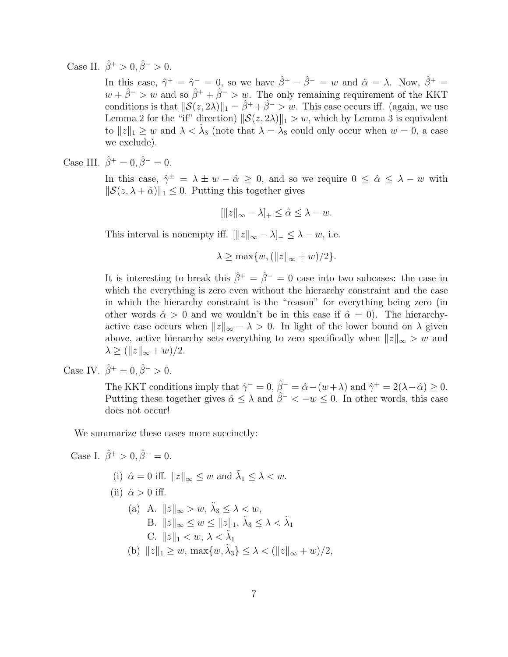Case II.  $\hat{\beta}^+ > 0, \hat{\beta}^- > 0.$ 

In this case,  $\hat{\gamma}^+ = \hat{\gamma}^- = 0$ , so we have  $\hat{\beta}^+ - \hat{\beta}^- = w$  and  $\hat{\alpha} = \lambda$ . Now,  $\hat{\beta}^+ = \hat{\gamma}^- = 0$ .  $w + \hat{\beta}^{-} > w$  and so  $\hat{\beta}^{+} + \hat{\beta}^{-} > w$ . The only remaining requirement of the KKT conditions is that  $\|\mathcal{S}(z, 2\lambda)\|_1 = \hat{\beta}^+ + \hat{\beta}^- > w$ . This case occurs iff. (again, we use Lemma 2 for the "if" direction)  $\|\mathcal{S}(z, 2\lambda)\|_1 > w$ , which by Lemma 3 is equivalent to  $||z||_1 \geq w$  and  $\lambda < \tilde{\lambda}_3$  (note that  $\lambda = \tilde{\lambda}_3$  could only occur when  $w = 0$ , a case we exclude).

Case III. 
$$
\hat{\beta}^+ = 0
$$
,  $\hat{\beta}^- = 0$ .

In this case,  $\hat{\gamma}^{\pm} = \lambda \pm w - \hat{\alpha} \geq 0$ , and so we require  $0 \leq \hat{\alpha} \leq \lambda - w$  with  $\|\mathcal{S}(z, \lambda + \hat{\alpha})\|_1 \leq 0$ . Putting this together gives

 $\|\|z\|_{\infty} - \lambda\|_{+} \leq \hat{\alpha} \leq \lambda - w.$ 

This interval is nonempty iff.  $\| |z\|_{\infty} - \lambda |_{+} \leq \lambda - w$ , i.e.

 $\lambda > \max\{w, (\|z\|_{\infty} + w)/2\}.$ 

It is interesting to break this  $\hat{\beta}^+ = \hat{\beta}^- = 0$  case into two subcases: the case in which the everything is zero even without the hierarchy constraint and the case in which the hierarchy constraint is the "reason" for everything being zero (in other words  $\hat{\alpha} > 0$  and we wouldn't be in this case if  $\hat{\alpha} = 0$ . The hierarchyactive case occurs when  $||z||_{\infty} - \lambda > 0$ . In light of the lower bound on  $\lambda$  given above, active hierarchy sets everything to zero specifically when  $||z||_{\infty} > w$  and  $\lambda \geq (||z||_{\infty} + w)/2.$ 

Case IV.  $\hat{\beta}^+ = 0$ ,  $\hat{\beta}^- > 0$ .

The KKT conditions imply that  $\hat{\gamma}^- = 0$ ,  $\hat{\beta}^- = \hat{\alpha} - (w + \lambda)$  and  $\hat{\gamma}^+ = 2(\lambda - \hat{\alpha}) \geq 0$ . Putting these together gives  $\hat{\alpha} \leq \lambda$  and  $\hat{\beta}^- < -w \leq 0$ . In other words, this case does not occur!

We summarize these cases more succinctly:

Case I.  $\hat{\beta}^+ > 0$ ,  $\hat{\beta}^- = 0$ .

(i)  $\hat{\alpha} = 0$  iff.  $||z||_{\infty} \leq w$  and  $\tilde{\lambda}_1 \leq \lambda < w$ . (ii)  $\hat{\alpha} > 0$  iff. (a) A.  $||z||_{\infty} > w$ ,  $\tilde{\lambda}_3 \leq \lambda < w$ ,

B. 
$$
||z||_{\infty} \leq w \leq ||z||_1
$$
,  $\tilde{\lambda}_3 \leq \lambda < \tilde{\lambda}_1$ \nC.  $||z||_1 < w$ ,  $\lambda < \tilde{\lambda}_1$ \n(b)  $||z||_1 \geq w$ ,  $\max\{w, \tilde{\lambda}_3\} \leq \lambda < (||z||_{\infty} + w)/2$ ,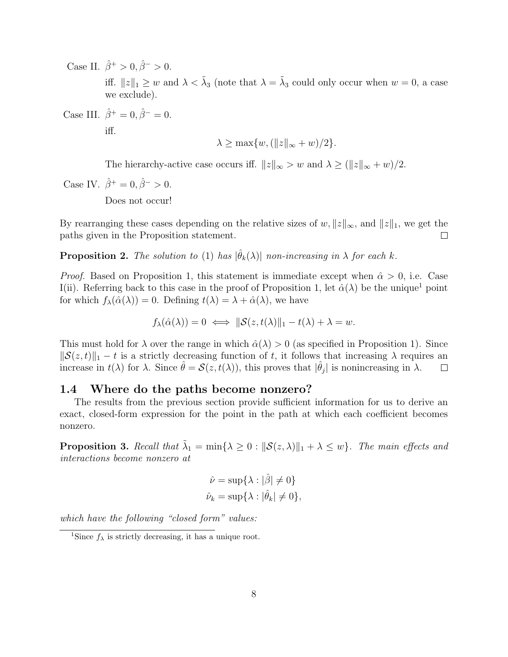Case II.  $\hat{\beta}^+ > 0, \hat{\beta}^- > 0.$ iff.  $||z||_1 \geq w$  and  $\lambda < \tilde{\lambda}_3$  (note that  $\lambda = \tilde{\lambda}_3$  could only occur when  $w = 0$ , a case we exclude).

Case III.  $\hat{\beta}^{+} = 0, \hat{\beta}^{-} = 0.$ iff.

$$
\lambda \ge \max\{w, (\|z\|_{\infty} + w)/2\}.
$$

The hierarchy-active case occurs iff.  $||z||_{\infty} > w$  and  $\lambda \geq (||z||_{\infty} + w)/2$ .

Case IV.  $\hat{\beta}^+ = 0$ ,  $\hat{\beta}^- > 0$ .

Does not occur!

By rearranging these cases depending on the relative sizes of w,  $||z||_{\infty}$ , and  $||z||_1$ , we get the paths given in the Proposition statement.  $\Box$ 

**Proposition 2.** The solution to (1) has  $|\hat{\theta}_k(\lambda)|$  non-increasing in  $\lambda$  for each k.

*Proof.* Based on Proposition 1, this statement is immediate except when  $\hat{\alpha} > 0$ , i.e. Case I(ii). Referring back to this case in the proof of Proposition 1, let  $\hat{\alpha}(\lambda)$  be the unique<sup>1</sup> point for which  $f_{\lambda}(\hat{\alpha}(\lambda)) = 0$ . Defining  $t(\lambda) = \lambda + \hat{\alpha}(\lambda)$ , we have

$$
f_{\lambda}(\hat{\alpha}(\lambda)) = 0 \iff ||\mathcal{S}(z, t(\lambda)||_1 - t(\lambda) + \lambda = w.
$$

This must hold for  $\lambda$  over the range in which  $\hat{\alpha}(\lambda) > 0$  (as specified in Proposition 1). Since  $\|\mathcal{S}(z, t)\|_1 - t$  is a strictly decreasing function of t, it follows that increasing  $\lambda$  requires an increase in  $t(\lambda)$  for  $\lambda$ . Since  $\hat{\theta} = \mathcal{S}(z, t(\lambda))$ , this proves that  $|\hat{\theta}_j|$  is nonincreasing in  $\lambda$ .  $\Box$ 

#### 1.4 Where do the paths become nonzero?

The results from the previous section provide sufficient information for us to derive an exact, closed-form expression for the point in the path at which each coefficient becomes nonzero.

**Proposition 3.** Recall that  $\tilde{\lambda}_1 = \min\{\lambda \geq 0 : ||\mathcal{S}(z, \lambda)||_1 + \lambda \leq w\}$ . The main effects and interactions become nonzero at

$$
\hat{\nu} = \sup \{ \lambda : |\hat{\beta}| \neq 0 \}
$$
  

$$
\hat{\nu}_k = \sup \{ \lambda : |\hat{\theta}_k| \neq 0 \},
$$

which have the following "closed form" values:

<sup>&</sup>lt;sup>1</sup>Since  $f_{\lambda}$  is strictly decreasing, it has a unique root.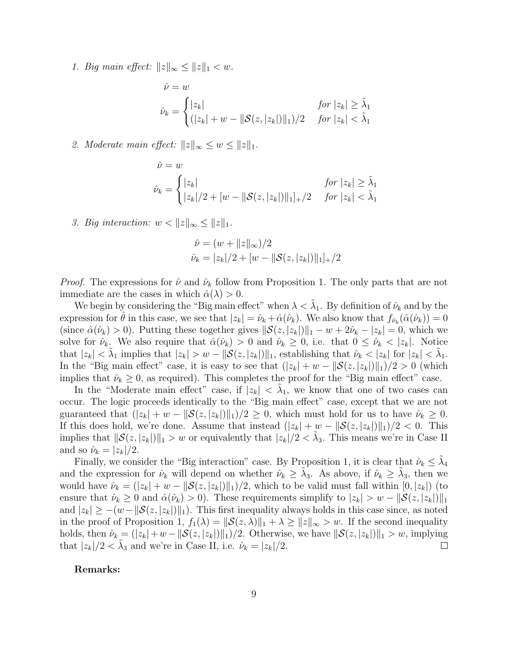1. Big main effect:  $||z||_{\infty} \leq ||z||_1 < w$ .

$$
\hat{\nu} = w
$$
  

$$
\hat{\nu}_k = \begin{cases} |z_k| & \text{for } |z_k| \ge \tilde{\lambda}_1 \\ (|z_k| + w - ||\mathcal{S}(z, |z_k|) ||_1)/2 & \text{for } |z_k| < \tilde{\lambda}_1 \end{cases}
$$

2. Moderate main effect:  $||z||_{\infty} \leq w \leq ||z||_1$ .

$$
\hat{\nu} = w
$$
  

$$
\hat{\nu}_k = \begin{cases} |z_k| & \text{for } |z_k| \ge \tilde{\lambda}_1 \\ |z_k|/2 + [w - ||\mathcal{S}(z, |z_k|) ||_1]_+/2 & \text{for } |z_k| < \tilde{\lambda}_1 \end{cases}
$$

3. Big interaction:  $w < ||z||_{\infty} \leq ||z||_1$ .

$$
\hat{\nu} = (w + ||z||_{\infty})/2
$$
  

$$
\hat{\nu}_k = |z_k|/2 + [w - ||\mathcal{S}(z, |z_k|)||_1]_+/2
$$

*Proof.* The expressions for  $\hat{\nu}$  and  $\hat{\nu}_k$  follow from Proposition 1. The only parts that are not immediate are the cases in which  $\hat{\alpha}(\lambda) > 0$ .

We begin by considering the "Big main effect" when  $\lambda < \tilde{\lambda}_1$ . By definition of  $\hat{\nu}_k$  and by the expression for  $\hat{\theta}$  in this case, we see that  $|z_k| = \hat{\nu}_k + \hat{\alpha}(\hat{\nu}_k)$ . We also know that  $f_{\hat{\nu}_k}(\hat{\alpha}(\hat{\nu}_k)) = 0$ (since  $\hat{\alpha}(\hat{\nu}_k) > 0$ ). Putting these together gives  $\|\mathcal{S}(z, |z_k|)\|_1 - w + 2\hat{\nu}_k - |z_k| = 0$ , which we solve for  $\hat{\nu}_k$ . We also require that  $\hat{\alpha}(\hat{\nu}_k) > 0$  and  $\hat{\nu}_k \geq 0$ , i.e. that  $0 \leq \hat{\nu}_k < |z_k|$ . Notice that  $|z_k| < \tilde{\lambda}_1$  implies that  $|z_k| > w - ||\mathcal{S}(z, |z_k|) ||_1$ , establishing that  $\hat{\nu}_k < |z_k|$  for  $|z_k| < \tilde{\lambda}_1$ . In the "Big main effect" case, it is easy to see that  $(|z_k| + w - ||\mathcal{S}(z, |z_k||)||_1)/2 > 0$  (which implies that  $\hat{\nu}_k \geq 0$ , as required). This completes the proof for the "Big main effect" case.

In the "Moderate main effect" case, if  $|z_k| < \tilde{\lambda}_1$ , we know that one of two cases can occur. The logic proceeds identically to the "Big main effect" case, except that we are not guaranteed that  $(|z_k| + w - |\mathcal{S}(z, |z_k|)||_1)/2 \geq 0$ , which must hold for us to have  $\hat{\nu}_k \geq 0$ . If this does hold, we're done. Assume that instead  $(|z_k| + w - ||\mathcal{S}(z, |z_k||)||_1)/2 < 0$ . This implies that  $||\mathcal{S}(z, |z_k|)||_1 > w$  or equivalently that  $|z_k|/2 < \tilde{\lambda}_3$ . This means we're in Case II and so  $\hat{\nu}_k = |z_k|/2$ .

Finally, we consider the "Big interaction" case. By Proposition 1, it is clear that  $\hat{\nu}_k \leq \tilde{\lambda}_4$ and the expression for  $\hat{\nu}_k$  will depend on whether  $\hat{\nu}_k \geq \tilde{\lambda}_3$ . As above, if  $\hat{\nu}_k \geq \tilde{\lambda}_3$ , then we would have  $\hat{\nu}_k = (|z_k| + w - ||\mathcal{S}(z, |z_k||)||_1)/2$ , which to be valid must fall within  $[0, |z_k|)$  (to ensure that  $\hat{\nu}_k \geq 0$  and  $\hat{\alpha}(\hat{\nu}_k) > 0$ . These requirements simplify to  $|z_k| > w - ||\mathcal{S}(z, |z_k|)||_1$ and  $|z_k| \geq -(w-||\mathcal{S}(z, |z_k||)||_1)$ . This first inequality always holds in this case since, as noted in the proof of Proposition 1,  $f_1(\lambda) = ||\mathcal{S}(z, \lambda)||_1 + \lambda \ge ||z||_{\infty} > w$ . If the second inequality holds, then  $\hat{\nu}_k = (|z_k| + w - ||\mathcal{S}(z, |z_k||)||_1)/2$ . Otherwise, we have  $||\mathcal{S}(z, |z_k||)||_1 > w$ , implying that  $|z_k|/2 < \tilde{\lambda}_3$  and we're in Case II, i.e.  $\hat{\nu}_k = |z_k|/2$ .  $\Box$ 

#### Remarks: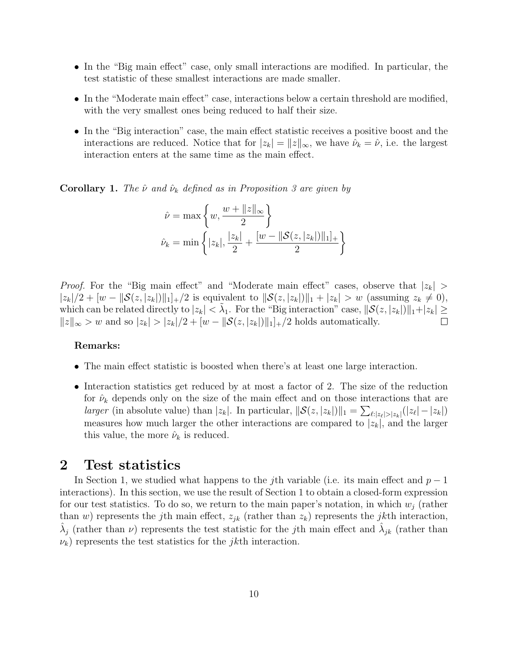- In the "Big main effect" case, only small interactions are modified. In particular, the test statistic of these smallest interactions are made smaller.
- In the "Moderate main effect" case, interactions below a certain threshold are modified, with the very smallest ones being reduced to half their size.
- In the "Big interaction" case, the main effect statistic receives a positive boost and the interactions are reduced. Notice that for  $|z_k| = ||z||_{\infty}$ , we have  $\hat{\nu}_k = \hat{\nu}$ , i.e. the largest interaction enters at the same time as the main effect.

**Corollary 1.** The  $\hat{\nu}$  and  $\hat{\nu}_k$  defined as in Proposition 3 are given by

$$
\hat{\nu} = \max \left\{ w, \frac{w + \|z\|_{\infty}}{2} \right\}
$$

$$
\hat{\nu}_k = \min \left\{ |z_k|, \frac{|z_k|}{2} + \frac{[w - \|S(z, |z_k|)\|_1]_+}{2} \right\}
$$

*Proof.* For the "Big main effect" and "Moderate main effect" cases, observe that  $|z_k|$  $|z_k|/2 + [w - ||\mathcal{S}(z, |z_k||)||_1]_+ / 2$  is equivalent to  $||\mathcal{S}(z, |z_k||)||_1 + |z_k| > w$  (assuming  $z_k \neq 0$ ), which can be related directly to  $|z_k| < \tilde{\lambda}_1$ . For the "Big interaction" case,  $\|\mathcal{S}(z, |z_k|)\|_1 + |z_k| \ge$  $||z||_{\infty} > w$  and so  $|z_k| > |z_k|/2 + [w - ||\mathcal{S}(z, |z_k|)||_1]$ +/2 holds automatically.  $\Box$ 

#### Remarks:

- The main effect statistic is boosted when there's at least one large interaction.
- Interaction statistics get reduced by at most a factor of 2. The size of the reduction for  $\hat{\nu}_k$  depends only on the size of the main effect and on those interactions that are larger (in absolute value) than  $|z_k|$ . In particular,  $\|\mathcal{S}(z, |z_k|)\|_1 = \sum_{\ell: |z_\ell| > |z_k|} (|z_\ell| - |z_k|)$ measures how much larger the other interactions are compared to  $|z_k|$ , and the larger this value, the more  $\hat{\nu}_k$  is reduced.

### 2 Test statistics

In Section 1, we studied what happens to the j<sup>th</sup> variable (i.e. its main effect and  $p-1$ interactions). In this section, we use the result of Section 1 to obtain a closed-form expression for our test statistics. To do so, we return to the main paper's notation, in which  $w_i$  (rather than w) represents the jth main effect,  $z_{jk}$  (rather than  $z_k$ ) represents the jkth interaction,  $\hat{\lambda}_j$  (rather than  $\nu$ ) represents the test statistic for the *j*th main effect and  $\hat{\lambda}_{jk}$  (rather than  $\nu_k$ ) represents the test statistics for the *jkth* interaction.